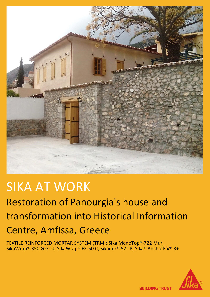

# SIKA AT WORK

## Restoration of Panourgia's house and transformation into Historical Information Centre, Amfissa, Greece

TEXTILE REINFORCED MORTAR SYSTEM (TRM): Sika MonoTop®-722 Mur, SikaWrap®-350 G Grid, SikaWrap® FX-50 C, Sikadur®-52 LP, Sika® AnchorFix®-3+



**BUILDING TRUST**